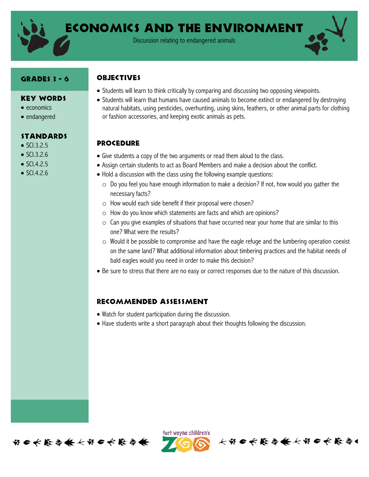

Economics and the environment

Discussion relating to endangered animals

#### Grades 3 - 6

#### **OBJECTIVES**

- Key Words
- $\bullet$  economics
- endangered

### standards

- $\bullet$  SCI.3.2.5
- $\bullet$  SCI.3.2.6
- $\bullet$  SCI.4.2.5
- $\bullet$  SCI.4.2.6
- Students will learn to think critically by comparing and discussing two opposing viewpoints.
- Students will learn that humans have caused animals to become extinct or endangered by destroying natural habitats, using pesticides, overhunting, using skins, feathers, or other animal parts for clothing or fashion accessories, and keeping exotic animals as pets.

### **PROCEDURE**

- Give students a copy of the two arguments or read them aloud to the class.
- Assign certain students to act as Board Members and make a decision about the conflict.
- Hold a discussion with the class using the following example questions:
	- $\circ$  Do you feel you have enough information to make a decision? If not, how would you gather the necessary facts?
	- o How would each side benefit if their proposal were chosen?
	- o How do you know which statements are facts and which are opinions?
	- $\circ$  Can you give examples of situations that have occurred near your home that are similar to this one? What were the results?
	- o Would it be possible to compromise and have the eagle refuge and the lumbering operation coexist on the same land? What additional information about timbering practices and the habitat needs of bald eagles would you need in order to make this decision?
- Be sure to stress that there are no easy or correct responses due to the nature of this discussion.

### Recommended assessment

- Watch for student participation during the discussion.
- Have students write a short paragraph about their thoughts following the discussion.





长节口长能与长长节口长能令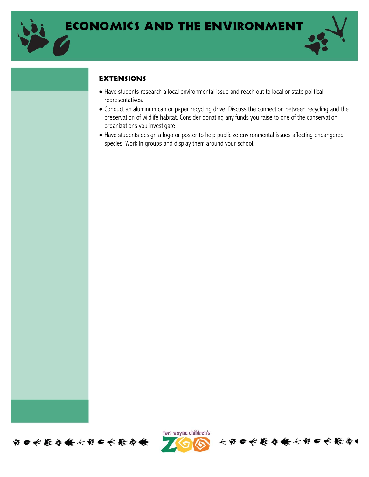

## **EXTENSIONS**

- Have students research a local environmental issue and reach out to local or state political representatives.
- Conduct an aluminum can or paper recycling drive. Discuss the connection between recycling and the preservation of wildlife habitat. Consider donating any funds you raise to one of the conservation organizations you investigate.
- Have students design a logo or poster to help publicize environmental issues affecting endangered species. Work in groups and display them around your school.





长节日长能与长长节日长能与